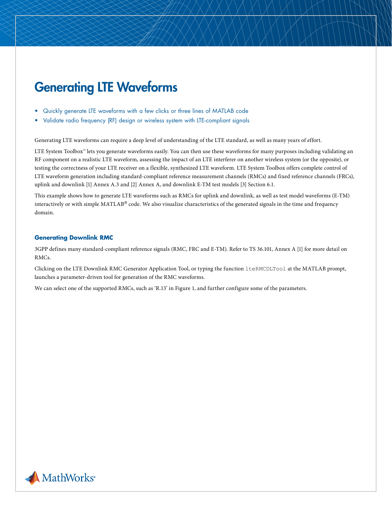# Generating LTE Waveforms

- Quickly generate LTE waveforms with a few clicks or three lines of MATLAB code
- Validate radio frequency (RF) design or wireless system with LTE-compliant signals

Generating LTE waveforms can require a deep level of understanding of the LTE standard, as well as many years of effort.

LTE System Toolbox™ lets you generate waveforms easily. You can then use these waveforms for many purposes including validating an RF component on a realistic LTE waveform, assessing the impact of an LTE interferer on another wireless system (or the opposite), or testing the correctness of your LTE receiver on a flexible, synthesized LTE waveform. LTE System Toolbox offers complete control of LTE waveform generation including standard-compliant reference measurement channels (RMCs) and fixed reference channels (FRCs), uplink and downlink [1] Annex A.3 and [2] Annex A, and downlink E-TM test models [3] Section 6.1.

This example shows how to generate LTE waveforms such as RMCs for uplink and downlink, as well as test model waveforms (E-TM) interactively or with simple MATLAB® code. We also visualize characteristics of the generated signals in the time and frequency domain.

### **Generating Downlink RMC**

3GPP defines many standard-compliant reference signals (RMC, FRC and E-TM). Refer to TS 36.101, Annex A [1] for more detail on RMCs.

Clicking on the LTE Downlink RMC Generator Application Tool, or typing the function lteRMCDLTool at the MATLAB prompt, launches a parameter-driven tool for generation of the RMC waveforms.

We can select one of the supported RMCs, such as 'R.13' in Figure 1, and further configure some of the parameters.

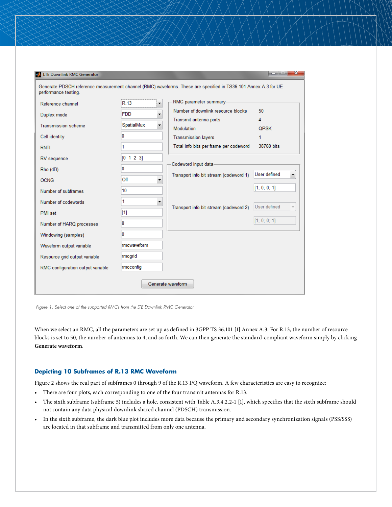| <b>CALLE Downlink RMC Generator</b>                                                                                                    |                  |                                                                                               | x<br>نعارص   |  |
|----------------------------------------------------------------------------------------------------------------------------------------|------------------|-----------------------------------------------------------------------------------------------|--------------|--|
| Generate PDSCH reference measurement channel (RMC) waveforms. These are specified in TS36.101 Annex A.3 for UE<br>performance testing. |                  |                                                                                               |              |  |
| Reference channel                                                                                                                      | R.13<br>۳        | RMC parameter summary-                                                                        |              |  |
| Duplex mode                                                                                                                            | <b>FDD</b><br>۳  | Number of downlink resource blocks.<br>50<br>Transmit antenna ports<br>4<br><b>Modulation</b> |              |  |
| <b>Transmission scheme</b>                                                                                                             | SpatialMux<br>۳  |                                                                                               | <b>QPSK</b>  |  |
| Cell identity                                                                                                                          | 0                | <b>Transmission layers</b>                                                                    | 1            |  |
| <b>RNTI</b>                                                                                                                            | 1                | Total info bits per frame per codeword                                                        | 38760 bits   |  |
| RV sequence                                                                                                                            | [0 1 2 3]        |                                                                                               |              |  |
| Rho (dB)                                                                                                                               | 0                | Codeword input data-<br>User defined<br>Transport info bit stream (codeword 1)                |              |  |
| <b>OCNG</b>                                                                                                                            | Off<br>▼         |                                                                                               | ▼            |  |
| Number of subframes                                                                                                                    | 10 <sup>10</sup> |                                                                                               | [1; 0; 0; 1] |  |
| Number of codewords                                                                                                                    | 1<br>۳           | Transport info bit stream (codeword 2)                                                        |              |  |
| PMI set                                                                                                                                | $[1]$            |                                                                                               | User defined |  |
| Number of HARQ processes                                                                                                               | 8                |                                                                                               | [1; 0; 0; 1] |  |
| Windowing (samples)                                                                                                                    | 0                |                                                                                               |              |  |
| Waveform output variable                                                                                                               | rmcwaveform      |                                                                                               |              |  |
| Resource grid output variable                                                                                                          | rmogrid          |                                                                                               |              |  |
| RMC configuration output variable                                                                                                      | rmcconfig        |                                                                                               |              |  |
| Generate waveform                                                                                                                      |                  |                                                                                               |              |  |

 *Figure 1. Select one of the supported RMCs from the LTE Downlink RMC Generator*

When we select an RMC, all the parameters are set up as defined in 3GPP TS 36.101 [1] Annex A.3. For R.13, the number of resource blocks is set to 50, the number of antennas to 4, and so forth. We can then generate the standard-compliant waveform simply by clicking **Generate waveform**.

## **Depicting 10 Subframes of R.13 RMC Waveform**

Figure 2 shows the real part of subframes 0 through 9 of the R.13 I/Q waveform. A few characteristics are easy to recognize:

- There are four plots, each corresponding to one of the four transmit antennas for R.13.
- The sixth subframe (subframe 5) includes a hole, consistent with Table A.3.4.2.2-1 [1], which specifies that the sixth subframe should not contain any data physical downlink shared channel (PDSCH) transmission.
- In the sixth subframe, the dark blue plot includes more data because the primary and secondary synchronization signals (PSS/SSS) are located in that subframe and transmitted from only one antenna.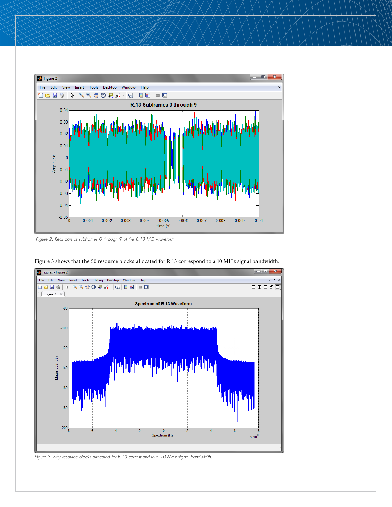

*Figure 2. Real part of subframes 0 through 9 of the R.13 I/Q waveform.*



Figure 3 shows that the 50 resource blocks allocated for R.13 correspond to a 10 MHz signal bandwidth.

*Figure 3. Fifty resource blocks allocated for R.13 correspond to a 10 MHz signal bandwidth.*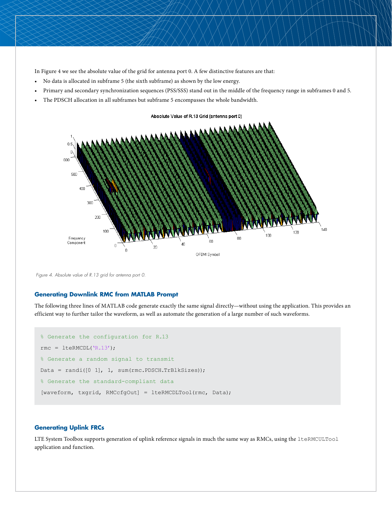In Figure 4 we see the absolute value of the grid for antenna port 0. A few distinctive features are that:

- No data is allocated in subframe 5 (the sixth subframe) as shown by the low energy.
- Primary and secondary synchronization sequences (PSS/SSS) stand out in the middle of the frequency range in subframes 0 and 5.
- The PDSCH allocation in all subframes but subframe 5 encompasses the whole bandwidth.

![](_page_3_Figure_4.jpeg)

*Figure 4. Absolute value of R.13 grid for antenna port 0.*

#### **Generating Downlink RMC from MATLAB Prompt**

The following three lines of MATLAB code generate exactly the same signal directly—without using the application. This provides an efficient way to further tailor the waveform, as well as automate the generation of a large number of such waveforms.

```
% Generate the configuration for R.13
rmc = 1teRMCDL('R.13');% Generate a random signal to transmit
Data = randi([0 1], 1, sum(rmc.PDSCH.TrBlksizes));% Generate the standard-compliant data
[waveform, txgrid, RMCcfgOut] = lteRMCDLTool(rmc, Data);
```
## **Generating Uplink FRCs**

LTE System Toolbox supports generation of uplink reference signals in much the same way as RMCs, using the lteRMCULTool application and function.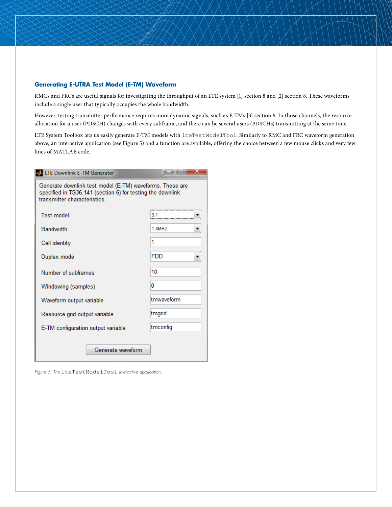## **Generating E-UTRA Test Model (E-TM) Waveform**

RMCs and FRCs are useful signals for investigating the throughput of an LTE system [1] section 8 and [2] section 8. These waveforms include a single user that typically occupies the whole bandwidth.

However, testing transmitter performance requires more dynamic signals, such as E-TMs [3] section 6. In those channels, the resource allocation for a user (PDSCH) changes with every subframe, and there can be several users (PDSCHs) transmitting at the same time.

LTE System Toolbox lets us easily generate E-TM models with lteTestModelTool. Similarly to RMC and FRC waveform generation above, an interactive application (see Figure 5) and a function are available, offering the choice between a few mouse clicks and very few lines of MATLAB code.

| LTE Downlink E-TM Generator                                                                                                                           | х                 |  |  |  |
|-------------------------------------------------------------------------------------------------------------------------------------------------------|-------------------|--|--|--|
| Generate downlink test model (E-TM) waveforms. These are<br>specified in TS36.141 (section 6) for testing the downlink<br>transmitter characteristics |                   |  |  |  |
| <b>Test model</b>                                                                                                                                     | 3.1               |  |  |  |
| Bandwidth                                                                                                                                             | 14MH <sub>7</sub> |  |  |  |
| Cell identity                                                                                                                                         | 1                 |  |  |  |
| Duplex mode                                                                                                                                           | FDD               |  |  |  |
| Number of subframes                                                                                                                                   | 10                |  |  |  |
| Windowing (samples)                                                                                                                                   | 0                 |  |  |  |
| Waveform output variable                                                                                                                              | tmwaveform        |  |  |  |
| Resource grid output variable                                                                                                                         | tmgrid            |  |  |  |
| E-TM configuration output variable                                                                                                                    | tmconfig          |  |  |  |
| Generate waveform                                                                                                                                     |                   |  |  |  |

*Figure 5. The* lteTestModelTool *interactive application.*